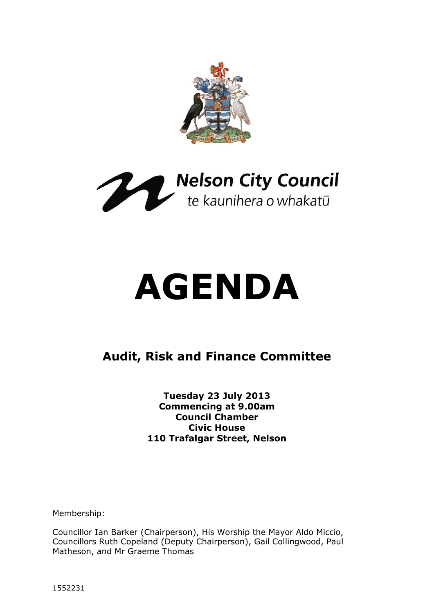



# **AGENDA**

# **Audit, Risk and Finance Committee**

**Tuesday 23 July 2013 Commencing at 9.00am Council Chamber Civic House 110 Trafalgar Street, Nelson**

Membership:

Councillor Ian Barker (Chairperson), His Worship the Mayor Aldo Miccio, Councillors Ruth Copeland (Deputy Chairperson), Gail Collingwood, Paul Matheson, and Mr Graeme Thomas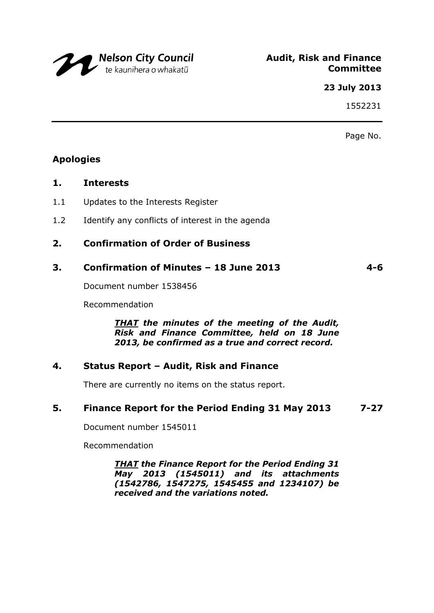

#### **23 July 2013**

1552231

Page No.

# **Apologies**

#### **1. Interests**

- 1.1 Updates to the Interests Register
- 1.2 Identify any conflicts of interest in the agenda

# **2. Confirmation of Order of Business**

## **3. Confirmation of Minutes – 18 June 2013 4-6**

Document number 1538456

Recommendation

*THAT the minutes of the meeting of the Audit, Risk and Finance Committee, held on 18 June 2013, be confirmed as a true and correct record.*

## **4. Status Report – Audit, Risk and Finance**

There are currently no items on the status report.

## **5. Finance Report for the Period Ending 31 May 2013 7-27**

Document number 1545011

Recommendation

*THAT the Finance Report for the Period Ending 31 May 2013 (1545011) and its attachments (1542786, 1547275, 1545455 and 1234107) be received and the variations noted.*